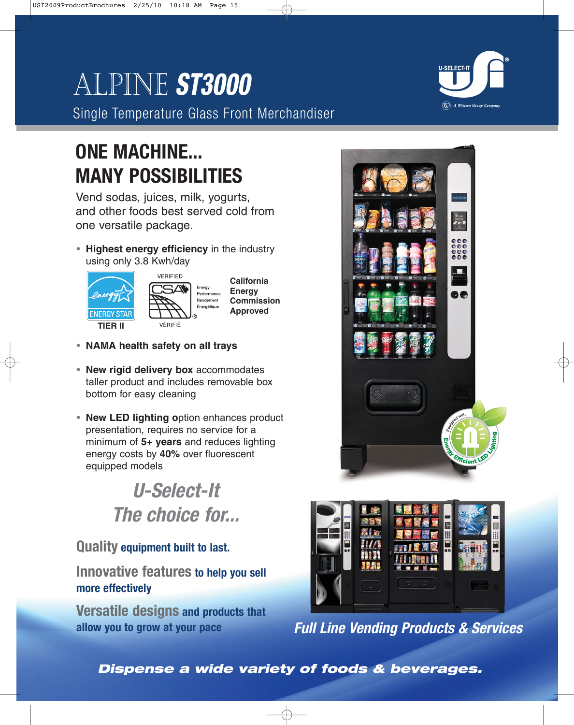# Alpine **ST3000**

Single Temperature Glass Front Merchandiser

## **ONE MACHINE... MANY POSSIBILITIES**

Vend sodas, juices, milk, yogurts, and other foods best served cold from one versatile package.

**• Highest energy efficiency** in the industry using only 3.8 Kwh/day





**California Energy Commission Approved**

- **• NAMA health safety on all trays**
- **• New rigid delivery box** accommodates taller product and includes removable box bottom for easy cleaning
- **• New LED lighting o**ption enhances product presentation, requires no service for a minimum of **5+ years** and reduces lighting energy costs by **40%** over fluorescent equipped models

## **U-Select-It The choice for...**

### **Quality equipment built to last.**

**Innovative features to help you sell more effectively**

**Versatile designs and products that allow you to grow at your pace**





**Full Line Vending Products & Services**

**Dispense a wide variety of foods & beverages.**